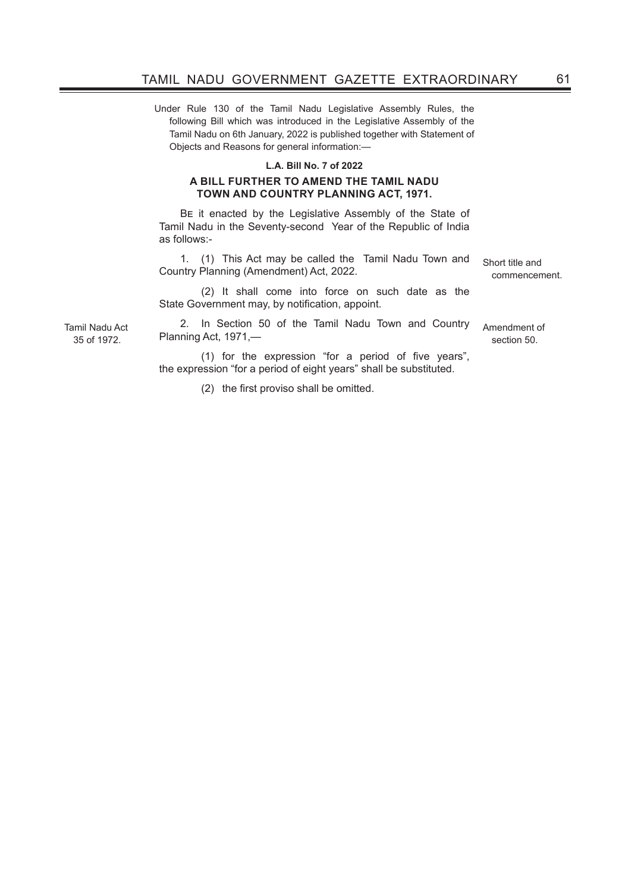Under Rule 130 of the Tamil Nadu Legislative Assembly Rules, the following Bill which was introduced in the Legislative Assembly of the Tamil Nadu on 6th January, 2022 is published together with Statement of Objects and Reasons for general information:—

## **L.A. Bill No. 7 of 2022**

## **A BILL FURTHER TO AMEND THE TAMIL NADU TOWN AND COUNTRY PLANNING ACT, 1971.**

Be it enacted by the Legislative Assembly of the State of Tamil Nadu in the Seventy-second Year of the Republic of India as follows:-

1. (1) This Act may be called the Tamil Nadu Town and Country Planning (Amendment) Act, 2022.

(2) It shall come into force on such date as the State Government may, by notification, appoint.

2. In Section 50 of the Tamil Nadu Town and Country Planning Act, 1971,—

 $(1)$  for the expression "for a period of five years", the expression "for a period of eight years" shall be substituted.

 (2) the first proviso shall be omitted.

Short title and commencement.

Amendment of section 50.